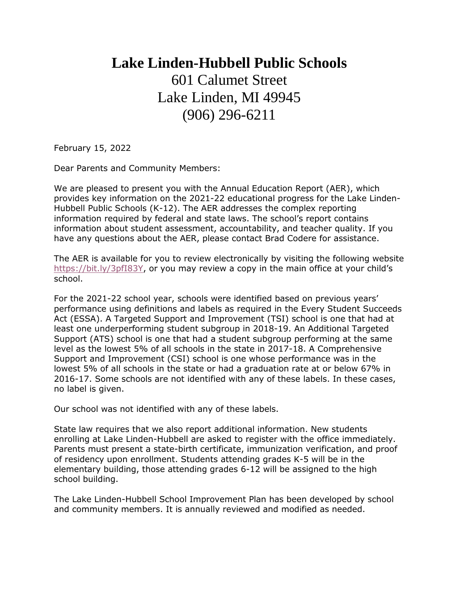## **Lake Linden-Hubbell Public Schools** 601 Calumet Street Lake Linden, MI 49945 (906) 296-6211

February 15, 2022

Dear Parents and Community Members:

We are pleased to present you with the Annual Education Report (AER), which provides key information on the 2021-22 educational progress for the Lake Linden-Hubbell Public Schools (K-12). The AER addresses the complex reporting information required by federal and state laws. The school's report contains information about student assessment, accountability, and teacher quality. If you have any questions about the AER, please contact Brad Codere for assistance.

The AER is available for you to review electronically by visiting the following website [https://bit.ly/3pfI83Y,](https://bit.ly/3pfI83Y) or you may review a copy in the main office at your child's school.

For the 2021-22 school year, schools were identified based on previous years' performance using definitions and labels as required in the Every Student Succeeds Act (ESSA). A Targeted Support and Improvement (TSI) school is one that had at least one underperforming student subgroup in 2018-19. An Additional Targeted Support (ATS) school is one that had a student subgroup performing at the same level as the lowest 5% of all schools in the state in 2017-18. A Comprehensive Support and Improvement (CSI) school is one whose performance was in the lowest 5% of all schools in the state or had a graduation rate at or below 67% in 2016-17. Some schools are not identified with any of these labels. In these cases, no label is given.

Our school was not identified with any of these labels.

State law requires that we also report additional information. New students enrolling at Lake Linden-Hubbell are asked to register with the office immediately. Parents must present a state-birth certificate, immunization verification, and proof of residency upon enrollment. Students attending grades K-5 will be in the elementary building, those attending grades 6-12 will be assigned to the high school building.

The Lake Linden-Hubbell School Improvement Plan has been developed by school and community members. It is annually reviewed and modified as needed.